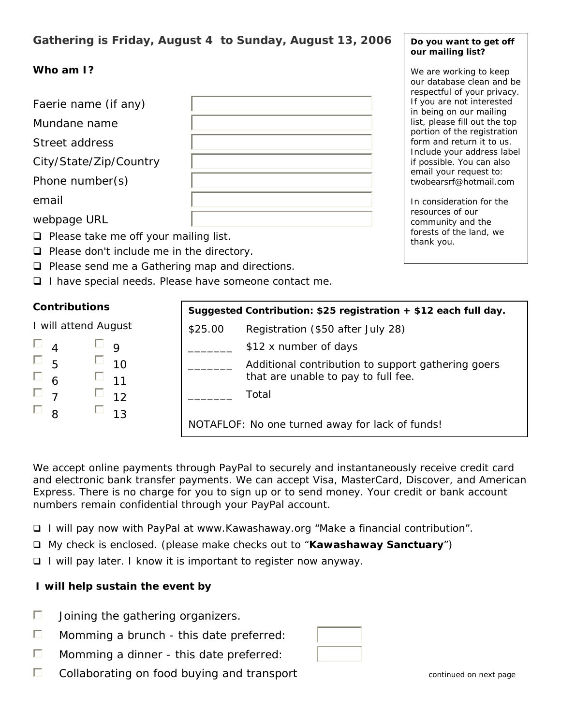# **Gathering is Friday, August 4 to Sunday, August 13, 2006**

## **Who am I?**

Faerie name (if any)

Mundane name

Street address

City/State/Zip/Country

Phone number(s)

email

webpage URL

- $\Box$  Please take me off your mailing list.
- $\Box$  Please don't include me in the directory.
- $\Box$  Please send me a Gathering map and directions.
- □ I have special needs. Please have someone contact me.

## **Contributions**

I will attend August

| 4 | 9  |
|---|----|
| 5 | 10 |
| 6 | 11 |
|   | 12 |
| 8 | 13 |

| Suggested Contribution: \$25 registration + \$12 each full day. |                                                                                           |  |  |  |
|-----------------------------------------------------------------|-------------------------------------------------------------------------------------------|--|--|--|
| \$25.00                                                         | Registration (\$50 after July 28)                                                         |  |  |  |
|                                                                 | \$12 x number of days                                                                     |  |  |  |
|                                                                 | Additional contribution to support gathering goers<br>that are unable to pay to full fee. |  |  |  |
|                                                                 | Total                                                                                     |  |  |  |
|                                                                 | NOTAFLOF: No one turned away for lack of funds!                                           |  |  |  |

We accept online payments through PayPal to securely and instantaneously receive credit card and electronic bank transfer payments. We can accept Visa, MasterCard, Discover, and American Express. There is no charge for you to sign up or to send money. Your credit or bank account numbers remain confidential through your PayPal account.

- I will pay now with PayPal at www.Kawashaway.org "Make a financial contribution".
- My check is enclosed. (please make checks out to "**Kawashaway Sanctuary**")
- □ I will pay later. I know it is important to register now anyway.

## **I will help sustain the event by**

- П Joining the gathering organizers.
- П Momming a brunch - this date preferred:
- П Momming a dinner - this date preferred:
- П Collaborating on food buying and transport collaboratinued on next page

#### **Do you want to get off our mailing list?**

We are working to keep our database clean and be respectful of your privacy. If you are not interested in being on our mailing list, please fill out the top portion of the registration form and return it to us. Include your address label if possible. You can also email your request to: twobearsrf@hotmail.com

*In consideration for the resources of our community and the forests of the land, we thank you.*